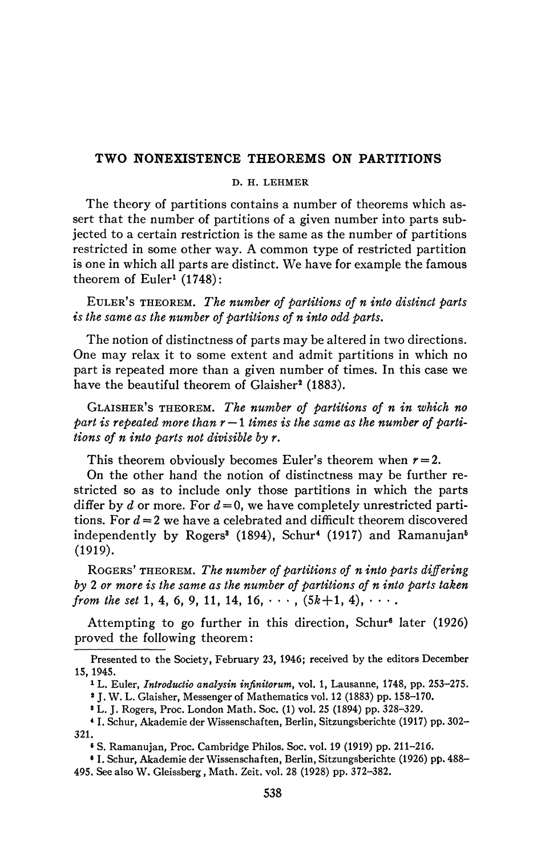## **TWO NONEXISTENCE THEOREMS ON PARTITIONS**

## **D. H. LEHMER**

The theory of partitions contains a number of theorems which assert that the number of partitions of a given number into parts subjected to a certain restriction is the same as the number of partitions restricted in some other way. A common type of restricted partition is one in which all parts are distinct. We have for example the famous theorem of  $Euler<sup>1</sup> (1748)$ :

EXILER\*s THEOREM. *The number of partitions of n into distinct parts is the same as the number of partitions of n into odd parts.* 

The notion of distinctness of parts may be altered in two directions. One may relax it to some extent and admit partitions in which no part is repeated more than a given number of times. In this case we have the beautiful theorem of Glaisher<sup>2</sup> (1883).

GLAISHER'S THEOREM. *The number of partitions of n in which no part is repeated more than* r — 1 *times is the same as the number of partitions of n into parts not divisible by r.* 

This theorem obviously becomes Euler's theorem when  $r = 2$ .

On the other hand the notion of distinctness may be further restricted so as to include only those partitions in which the parts differ by *d* or more. For  $d = 0$ , we have completely unrestricted partitions. For  $d = 2$  we have a celebrated and difficult theorem discovered independently by Rogers<sup>3</sup> (1894), Schur<sup>4</sup> (1917) and Ramanujan<sup>5</sup> (1919).

ROGERS' THEOREM. *The number of partitions of n into parts differing by 2 or more is the same as the number of partitions of n into parts taken from the set* 1, 4, 6, 9, 11, 14, 16,  $\cdots$ ,  $(5k+1, 4)$ ,  $\cdots$ .

Attempting to go further in this direction, Schur<sup>6</sup> later (1926) proved the following theorem:

» L. J. Rogers, Proc. London Math. Soc. (1) vol. 25 (1894) pp. 328-329.

Presented to the Society, February 23, 1946; received by the editors December 15, 1945.

<sup>1</sup> L. Euler, *Introductio analysin infinitorum,* vol. 1, Lausanne, 1748, pp. 253-275.

<sup>\*</sup> J. W. L. Glaisher, Messenger of Mathematics vol. 12 (1883) pp. 158-170.

<sup>4</sup> 1 . Schur, Akademie der Wissenschaften, Berlin, Sitzungsberichte (1917) pp. 302- 321.

<sup>&</sup>lt;sup>6</sup> S. Ramanujan, Proc. Cambridge Philos. Soc. vol. 19 (1919) pp. 211-216.

<sup>6</sup> 1 . Schur, Akademie der Wissenschaften, Berlin, Sitzungsberichte (1926) pp. 488- 495. See also W. Gleissberg, Math. Zeit. vol. 28 (1928) pp. 372-382.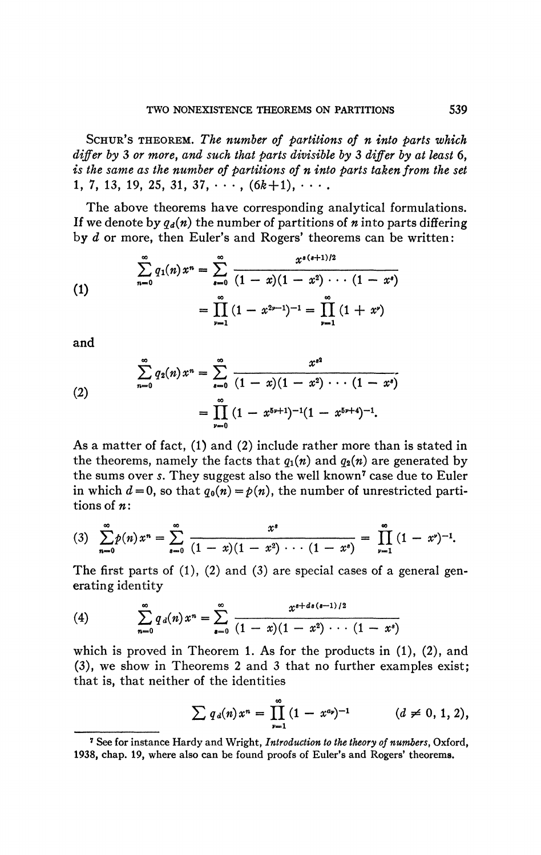SCHUR'S THEOREM. *The number of partitions of n into parts which differ by* 3 *or more, and such that parts divisible by* 3 *differ by at least* 6, *is the same as the number of partitions of n into parts taken from the set*   $1, 7, 13, 19, 25, 31, 37, \cdots$ ,  $(6k+1), \cdots$ 

The above theorems have corresponding analytical formulations. If we denote by  $q_d(n)$  the number of partitions of *n* into parts differing by *d* or more, then Euler's and Rogers' theorems can be written :

(1)  

$$
\sum_{n=0}^{\infty} q_1(n) x^n = \sum_{s=0}^{\infty} \frac{x^{s(s+1)/2}}{(1-x)(1-x^2)\cdots(1-x^s)}
$$

$$
= \prod_{r=1}^{\infty} (1-x^{2r-1})^{-1} = \prod_{r=1}^{\infty} (1+x^r)
$$

and

(2)  

$$
\sum_{n=0}^{\infty} q_2(n) x^n = \sum_{s=0}^{\infty} \frac{x^{s^2}}{(1-x)(1-x^2)\cdots(1-x^s)}
$$

$$
= \prod_{r=0}^{\infty} (1-x^{5r+1})^{-1} (1-x^{5r+4})^{-1}.
$$

As a matter of fact, (1) and (2) include rather more than is stated in the theorems, namely the facts that  $q_1(n)$  and  $q_2(n)$  are generated by the sums over *s*. They suggest also the well known<sup>7</sup> case due to Euler in which  $d = 0$ , so that  $q_0(n) = p(n)$ , the number of unrestricted partitions of *n:* 

$$
(3) \quad \sum_{n=0}^{\infty} p(n) x^n = \sum_{s=0}^{\infty} \frac{x^s}{(1-x)(1-x^2)\cdots(1-x^s)} = \prod_{\nu=1}^{\infty} (1-x^{\nu})^{-1}.
$$

The first parts of (1), (2) and (3) are special cases of a general generating identity

(4) 
$$
\sum_{n=0}^{\infty} q_d(n) x^n = \sum_{n=0}^{\infty} \frac{x^{s+ds(s-1)/2}}{(1-x)(1-x^2)\cdots(1-x^s)}
$$

which is proved in Theorem 1. As for the products in  $(1)$ ,  $(2)$ , and (3), we show in Theorems 2 and 3 that no further examples exist *;*  that is, that neither of the identities

$$
\sum q_d(n)x^n = \prod_{\nu=1}^{\infty} (1-x^{a_{\nu}})^{-1} \qquad (d \neq 0, 1, 2),
$$

**<sup>7</sup> See for instance Hardy and Wright,** *Introduction to the theory of numbers,* **Oxford, 1938, chap. 19, where also can be found proofs of Euler's and Rogers' theorems.**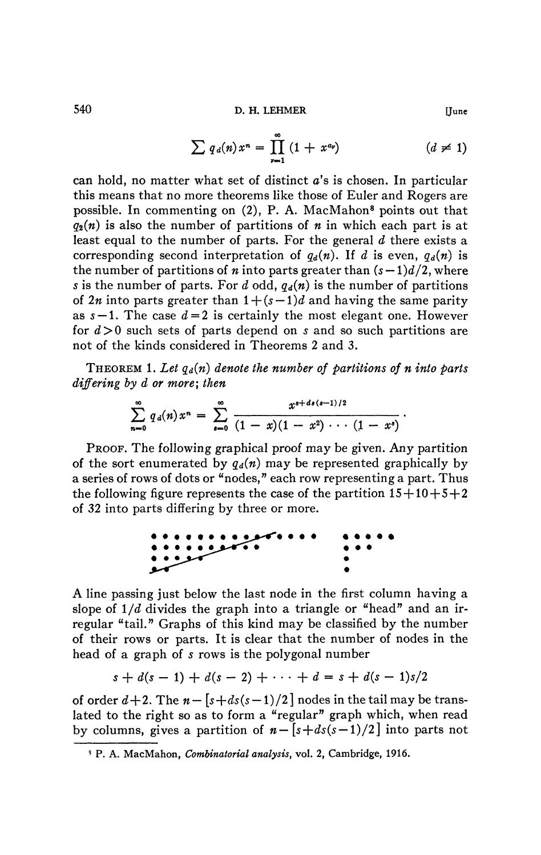540 **D. H. LEHMER** [June

$$
\sum q_d(n)x^n = \prod_{\nu=1}^{\infty} (1 + x^{a_{\nu}}) \qquad (d \neq 1)
$$

can hold, no matter what set of distinct *a's* is chosen. In particular this means that no more theorems like those of Euler and Rogers are possible. In commenting on (2), P. A. MacMahon<sup>8</sup> points out that  $q_2(n)$  is also the number of partitions of *n* in which each part is at least equal to the number of parts. For the general *d* there exists a corresponding second interpretation of  $q_d(n)$ . If d is even,  $q_d(n)$  is the number of partitions of *n* into parts greater than  $(s-1)d/2$ , where s is the number of parts. For  $d$  odd,  $q_d(n)$  is the number of partitions of  $2n$  into parts greater than  $1 + (s - 1)d$  and having the same parity as  $s - 1$ . The case  $d = 2$  is certainly the most elegant one. However for *d>0* such sets of parts depend on s and so such partitions are not of the kinds considered in Theorems 2 and 3.

THEOREM 1. Let  $q_d(n)$  denote the number of partitions of n into parts *differing by d or more; then* 

$$
\sum_{n=0}^{\infty} q_d(n) x^n = \sum_{s=0}^{\infty} \frac{x^{s+d s (s-1)/2}}{(1-x)(1-x^2)\cdots (1-x^s)}.
$$

PROOF. The following graphical proof may be given. Any partition of the sort enumerated by  $q_d(n)$  may be represented graphically by a series of rows of dots or "nodes," each row representing a part. Thus the following figure represents the case of the partition  $15+10+5+2$ of 32 into parts differing by three or more.



A line passing just below the last node in the first column having a slope of  $1/d$  divides the graph into a triangle or "head" and an irregular "tail." Graphs of this kind may be classified by the number of their rows or parts. It is clear that the number of nodes in the head of a graph of *s* rows is the polygonal number

$$
s + d(s - 1) + d(s - 2) + \cdots + d = s + d(s - 1)s/2
$$

of order  $d+2$ . The  $n - \lfloor s + ds(s-1)/2 \rfloor$  nodes in the tail may be translated to the right so as to form a "regular" graph which, when read by columns, gives a partition of  $n - \left[s + ds(s-1)/2\right]$  into parts not

**<sup>\$</sup> P. A. MacMahon,** *Combinatorial analysis,* **vol. 2, Cambridge, 1916.**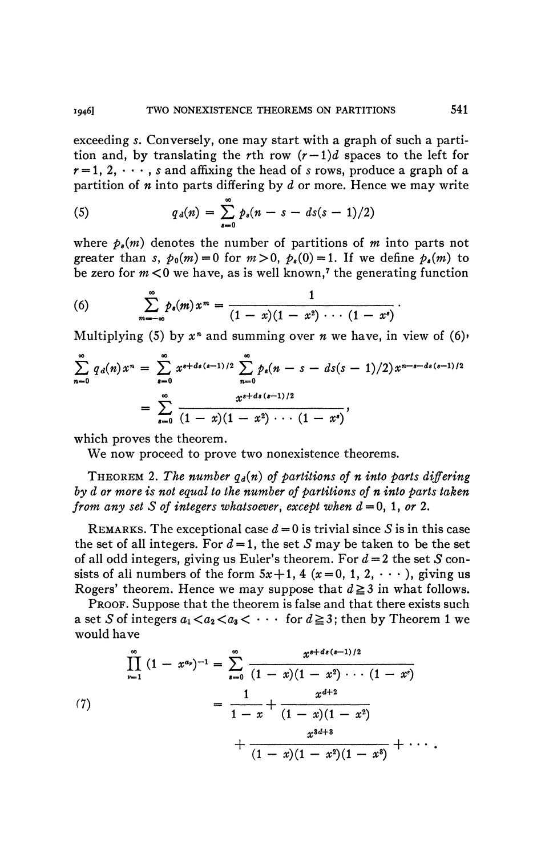exceeding *s.* Conversely, one may start with a graph of such a partition and, by translating the rth row  $(r-1)d$  spaces to the left for  $r=1, 2, \dots$ , s and affixing the head of s rows, produce a graph of a partition of *n* into parts differing by *d* or more. Hence we may write

(5) 
$$
q_d(n) = \sum_{s=0}^{\infty} p_s(n - s - ds(s - 1)/2)
$$

where  $p_s(m)$  denotes the number of partitions of m into parts not greater than *s*,  $p_0(m) = 0$  for  $m > 0$ ,  $p_s(0) = 1$ . If we define  $p_s(m)$  to be zero for  $m < 0$  we have, as is well known,<sup>7</sup> the generating function

(6) 
$$
\sum_{m=-\infty}^{\infty} p_s(m) x^m = \frac{1}{(1-x)(1-x^2)\cdots(1-x^s)}.
$$

Multiplying (5) by  $x^n$  and summing over  $n$  we have, in view of (6)<sup>,</sup>

$$
\sum_{n=0}^{\infty} q_d(n) x^n = \sum_{s=0}^{\infty} x^{s+d_s(s-1)/2} \sum_{n=0}^{\infty} p_s(n-s-ds(s-1)/2) x^{n-s-d_s(s-1)/2}
$$

$$
= \sum_{s=0}^{\infty} \frac{x^{s+d_s(s-1)/2}}{(1-x)(1-x^2)\cdots(1-x^s)},
$$

which proves the theorem.

We now proceed to prove two nonexistence theorems.

THEOREM 2. The number  $q_d(n)$  of partitions of n into parts differing *by d or more is not equal to the number of partitions of n into parts taken from any set S of integers whatsoever, except when*  $d = 0, 1, or 2$ *.* 

REMARKS. The exceptional case  $d = 0$  is trivial since S is in this case the set of all integers. For  $d = 1$ , the set S may be taken to be the set of all odd integers, giving us Euler's theorem. For *d* = 2 the set *S* consists of all numbers of the form  $5x + 1$ , 4  $(x = 0, 1, 2, \dots)$ , giving us Rogers' theorem. Hence we may suppose that  $d \geq 3$  in what follows.

PROOF. Suppose that the theorem is false and that there exists such a set S of integers  $a_1 < a_2 < a_3 < \cdots$  for  $d \geq 3$ ; then by Theorem 1 we would have

(7)  

$$
\prod_{\nu=1}^{\infty} (1-x^{a_{\nu}})^{-1} = \sum_{s=0}^{\infty} \frac{x^{s+d_{s}(s-1)/2}}{(1-x)(1-x^{2})\cdots(1-x^{s})}
$$

$$
= \frac{1}{1-x} + \frac{x^{d+2}}{(1-x)(1-x^{2})}
$$

$$
+ \frac{x^{3d+3}}{(1-x)(1-x^{2})(1-x^{3})} + \cdots
$$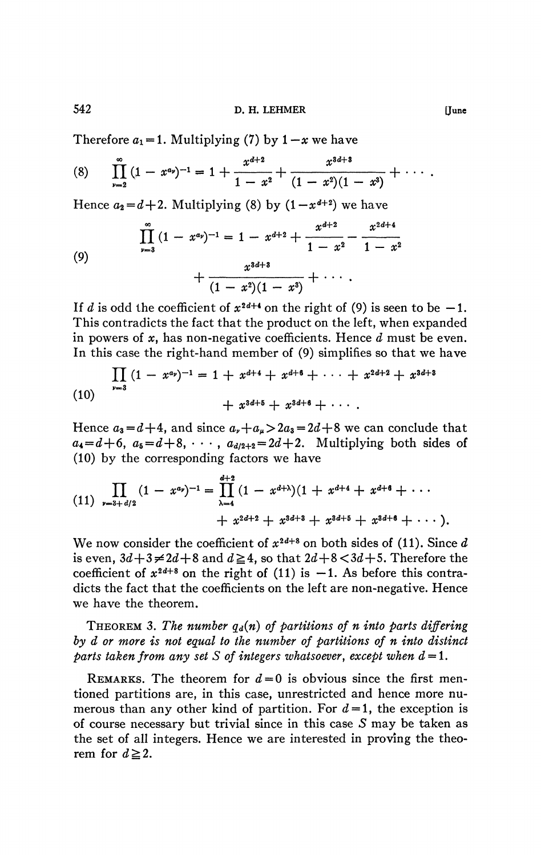Therefore  $a_1 = 1$ . Multiplying (7) by  $1 - x$  we have

(8) 
$$
\prod_{\nu=2}^{\infty} (1-x^{a_{\nu}})^{-1} = 1 + \frac{x^{d+2}}{1-x^2} + \frac{x^{3d+3}}{(1-x^2)(1-x^3)} + \cdots
$$

Hence  $a_2 = d + 2$ . Multiplying (8) by  $(1 - x^{d+2})$  we have

(9)  

$$
\prod_{\nu=3}^{\infty} (1-x^{\alpha_{\nu}})^{-1} = 1 - x^{d+2} + \frac{x^{d+2}}{1-x^2} - \frac{x^{2d+4}}{1-x^2} + \frac{x^{3d+3}}{(1-x^2)(1-x^3)} + \cdots
$$

If *d* is odd the coefficient of  $x^{2d+4}$  on the right of (9) is seen to be -1. This contradicts the fact that the product on the left, when expanded in powers of *x,* has non-negative coefficients. Hence *d* must be even. In this case the right-hand member of (9) simplifies so that we have

(10) 
$$
\prod_{\nu=3} (1-x^{a_{\nu}})^{-1} = 1 + x^{d+4} + x^{d+6} + \cdots + x^{2d+2} + x^{3d+3} + x^{3d+6} + \cdots
$$

$$
+ x^{3d+6} + x^{3d+6} + \cdots
$$

Hence  $a_3 = d+4$ , and since  $a_r + a_\mu > 2a_3 = 2d+8$  we can conclude that  $a_4 = d+6$ ,  $a_5 = d+8$ ,  $\cdots$ ,  $a_{d/2+2} = 2d+2$ . Multiplying both sides of (10) by the corresponding factors we have

(11) 
$$
\prod_{\nu=3+d/2} (1-x^{\alpha_{\nu}})^{-1} = \prod_{\lambda=4}^{d+2} (1-x^{d+\lambda})(1+x^{d+4}+x^{d+6}+\cdots + x^{2d+2}+x^{3d+3}+x^{3d+5}+x^{3d+6}+\cdots).
$$

We now consider the coefficient of  $x^{2a+8}$  on both sides of (11). Since  $d$ is even,  $3d+3 \neq 2d+8$  and  $d \geq 4$ , so that  $2d+8 < 3d+5$ . Therefore the coefficient of  $x^{2a+8}$  on the right of (11) is  $-1$ . As before this contradicts the fact that the coefficients on the left are non-negative. Hence we have the theorem.

THEOREM 3. The number  $q_d(n)$  of partitions of n into parts differing *by d or more is not equal to the number of partitions of n into distinct parts taken from any set S of integers whatsoever, except when*  $d = 1$ *.* 

REMARKS. The theorem for  $d=0$  is obvious since the first mentioned partitions are, in this case, unrestricted and hence more numerous than any other kind of partition. For  $d=1$ , the exception is of course necessary but trivial since in this case  $S$  may be taken as the set of all integers. Hence we are interested in proving the theorem for  $d \ge 2$ .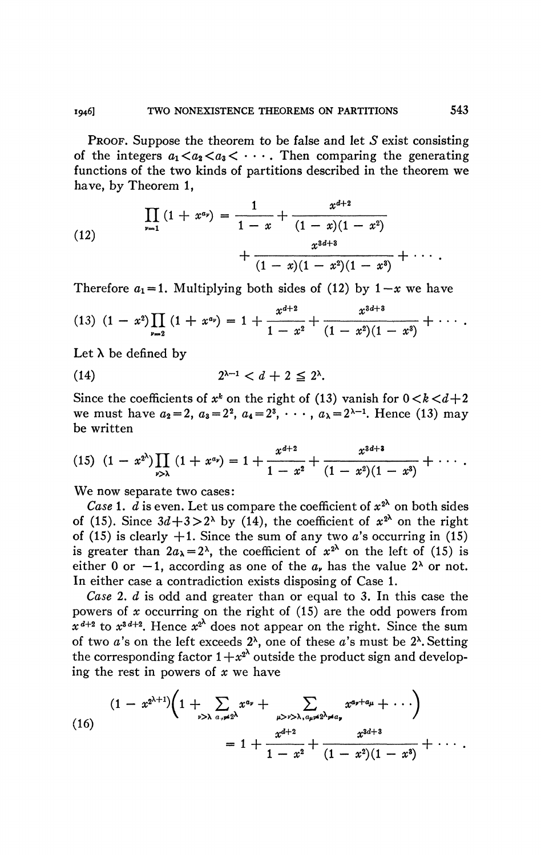PROOF. Suppose the theorem to be false and let *S* exist consisting of the integers  $a_1 < a_2 < a_3 < \cdots$ . Then comparing the generating functions of the two kinds of partitions described in the theorem we have, by Theorem 1,

(12) 
$$
\prod_{\nu=1} (1+x^{\alpha_{\nu}}) = \frac{1}{1-x} + \frac{x^{d+2}}{(1-x)(1-x^2)} + \frac{x^{3d+3}}{(1-x)(1-x^2)(1-x^3)} + \cdots
$$

Therefore  $a_1 = 1$ . Multiplying both sides of (12) by  $1-x$  we have

$$
(13) (1-x2)\prod_{\nu=2} (1+x^{\alpha_{\nu}})=1+\frac{x^{d+2}}{1-x^2}+\frac{x^{3d+3}}{(1-x^2)(1-x^3)}+\cdots.
$$

Let  $\lambda$  be defined by

(14) 
$$
2^{\lambda-1} < d + 2 \leq 2^{\lambda}.
$$

Since the coefficients of  $x^k$  on the right of (13) vanish for  $0 < k < d+2$ we must have  $a_2 = 2$ ,  $a_3 = 2^2$ ,  $a_4 = 2^3$ ,  $\cdots$ ,  $a_{\lambda} = 2^{\lambda - 1}$ . Hence (13) may be written

$$
(15) \ (1-x^{2^{\lambda}})\prod_{\nu>\lambda}\ (1+x^{\alpha_{\nu}})=1+\frac{x^{d+2}}{1-x^2}+\frac{x^{3d+3}}{(1-x^2)(1-x^3)}+\cdots.
$$

We now separate two cases:

*Case* 1. *d* is even. Let us compare the coefficient of  $x^{2^{\lambda}}$  on both sides of (15). Since  $3d+3>2^{\lambda}$  by (14), the coefficient of  $x^{2^{\lambda}}$  on the right of (15) is clearly  $+1$ . Since the sum of any two a's occurring in (15) is greater than  $2a_{\lambda} = 2^{\lambda}$ , the coefficient of  $x^{2^{\lambda}}$  on the left of (15) is either 0 or  $-1$ , according as one of the  $a<sub>r</sub>$  has the value 2<sup> $\lambda$ </sup> or not. In either case a contradiction exists disposing of Case 1.

*Case* 2. *d* is odd and greater than or equal to 3. In this case the powers of *x* occurring on the right of (15) are the odd powers from  $x^{d+2}$  to  $x^{3d+2}$ . Hence  $x^{2d}$  does not appear on the right. Since the sum of two *a*'s on the left exceeds 2<sup>x</sup>, one of these *a*'s must be 2<sup>x</sup>. Setting the corresponding factor  $1+x^2$  outside the product sign and developing the rest in powers of *x* we have

(16)  

$$
(1-x^{2\lambda+1})\left(1+\sum_{\nu>\lambda}\sum_{a,\nu\neq 2\lambda}x^{a_{\nu}}+\sum_{\mu>\nu>\lambda,a_{\mu}\neq 2\lambda\neq a_{\nu}}x^{a_{\nu}+a_{\mu}}+\cdots\right)
$$

$$
=1+\frac{x^{d+2}}{1-x^2}+\frac{x^{3d+3}}{(1-x^2)(1-x^3)}+\cdots.
$$